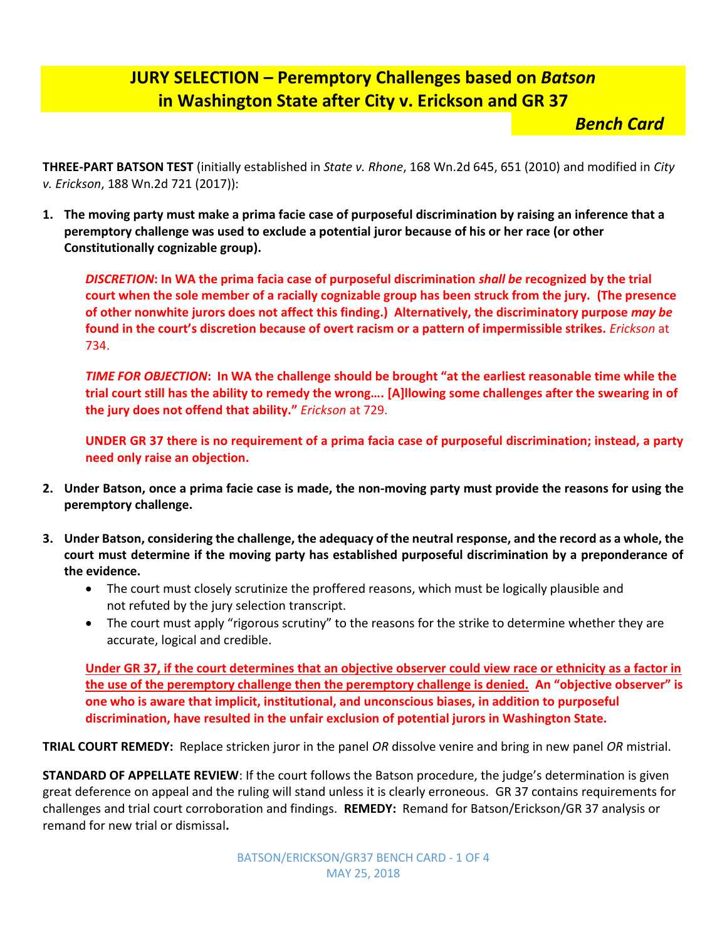# **JURY SELECTION – Peremptory Challenges based on** *Batson* **in Washington State after City v. Erickson and GR 37**

*Bench Card*

**THREE-PART BATSON TEST** (initially established in *State v. Rhone*, 168 Wn.2d 645, 651 (2010) and modified in *City v. Erickson*, 188 Wn.2d 721 (2017)):

**1. The moving party must make a prima facie case of purposeful discrimination by raising an inference that a peremptory challenge was used to exclude a potential juror because of his or her race (or other Constitutionally cognizable group).** 

*DISCRETION***: In WA the prima facia case of purposeful discrimination** *shall be* **recognized by the trial court when the sole member of a racially cognizable group has been struck from the jury. (The presence of other nonwhite jurors does not affect this finding.) Alternatively, the discriminatory purpose** *may be*  **found in the court's discretion because of overt racism or a pattern of impermissible strikes.** *Erickson* at 734.

*TIME FOR OBJECTION***: In WA the challenge should be brought "at the earliest reasonable time while the trial court still has the ability to remedy the wrong…. [A]llowing some challenges after the swearing in of the jury does not offend that ability."** *Erickson* at 729.

**UNDER GR 37 there is no requirement of a prima facia case of purposeful discrimination; instead, a party need only raise an objection.** 

- **2. Under Batson, once a prima facie case is made, the non-moving party must provide the reasons for using the peremptory challenge.**
- **3. Under Batson, considering the challenge, the adequacy of the neutral response, and the record as a whole, the court must determine if the moving party has established purposeful discrimination by a preponderance of the evidence.**
	- The court must closely scrutinize the proffered reasons, which must be logically plausible and not refuted by the jury selection transcript.
	- The court must apply "rigorous scrutiny" to the reasons for the strike to determine whether they are accurate, logical and credible.

**Under GR 37, if the court determines that an objective observer could view race or ethnicity as a factor in the use of the peremptory challenge then the peremptory challenge is denied. An "objective observer" is one who is aware that implicit, institutional, and unconscious biases, in addition to purposeful discrimination, have resulted in the unfair exclusion of potential jurors in Washington State.**

**TRIAL COURT REMEDY:** Replace stricken juror in the panel *OR* dissolve venire and bring in new panel *OR* mistrial.

**STANDARD OF APPELLATE REVIEW**: If the court follows the Batson procedure, the judge's determination is given great deference on appeal and the ruling will stand unless it is clearly erroneous. GR 37 contains requirements for challenges and trial court corroboration and findings. **REMEDY:** Remand for Batson/Erickson/GR 37 analysis or remand for new trial or dismissal**.**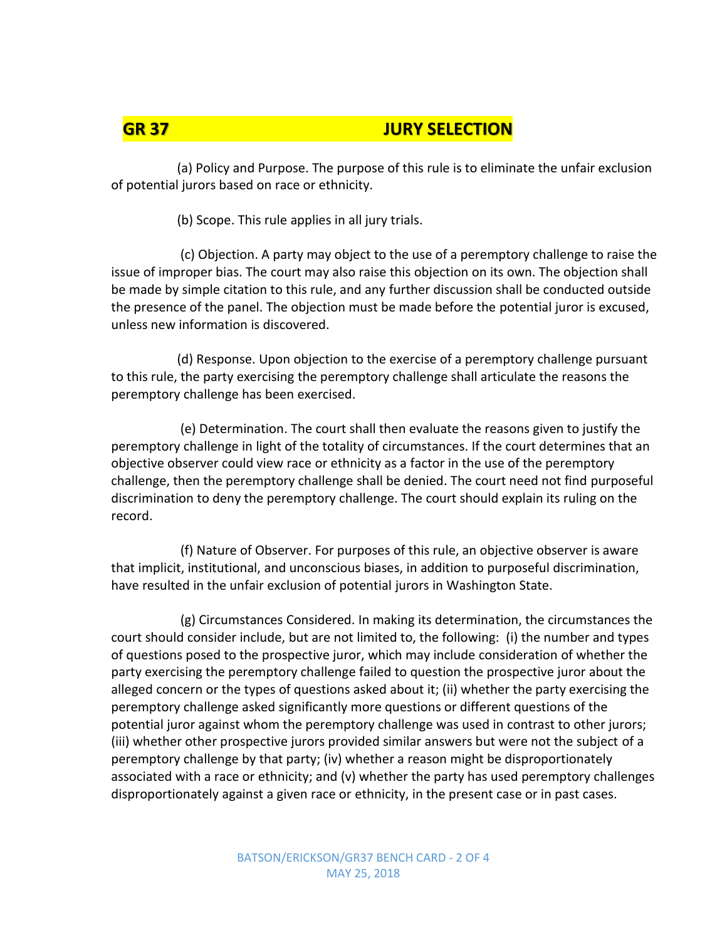## **GR 37 JURY SELECTION**

 (a) Policy and Purpose. The purpose of this rule is to eliminate the unfair exclusion of potential jurors based on race or ethnicity.

(b) Scope. This rule applies in all jury trials.

 (c) Objection. A party may object to the use of a peremptory challenge to raise the issue of improper bias. The court may also raise this objection on its own. The objection shall be made by simple citation to this rule, and any further discussion shall be conducted outside the presence of the panel. The objection must be made before the potential juror is excused, unless new information is discovered.

 (d) Response. Upon objection to the exercise of a peremptory challenge pursuant to this rule, the party exercising the peremptory challenge shall articulate the reasons the peremptory challenge has been exercised.

 (e) Determination. The court shall then evaluate the reasons given to justify the peremptory challenge in light of the totality of circumstances. If the court determines that an objective observer could view race or ethnicity as a factor in the use of the peremptory challenge, then the peremptory challenge shall be denied. The court need not find purposeful discrimination to deny the peremptory challenge. The court should explain its ruling on the record.

 (f) Nature of Observer. For purposes of this rule, an objective observer is aware that implicit, institutional, and unconscious biases, in addition to purposeful discrimination, have resulted in the unfair exclusion of potential jurors in Washington State.

 (g) Circumstances Considered. In making its determination, the circumstances the court should consider include, but are not limited to, the following: (i) the number and types of questions posed to the prospective juror, which may include consideration of whether the party exercising the peremptory challenge failed to question the prospective juror about the alleged concern or the types of questions asked about it; (ii) whether the party exercising the peremptory challenge asked significantly more questions or different questions of the potential juror against whom the peremptory challenge was used in contrast to other jurors; (iii) whether other prospective jurors provided similar answers but were not the subject of a peremptory challenge by that party; (iv) whether a reason might be disproportionately associated with a race or ethnicity; and (v) whether the party has used peremptory challenges disproportionately against a given race or ethnicity, in the present case or in past cases.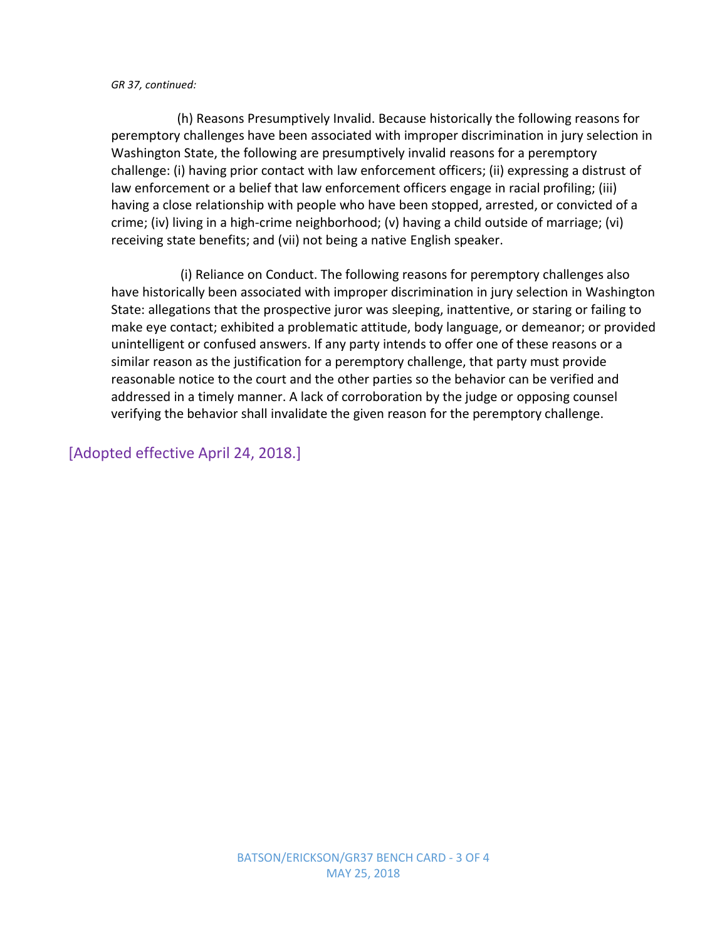### *GR 37, continued:*

(h) Reasons Presumptively Invalid. Because historically the following reasons for peremptory challenges have been associated with improper discrimination in jury selection in Washington State, the following are presumptively invalid reasons for a peremptory challenge: (i) having prior contact with law enforcement officers; (ii) expressing a distrust of law enforcement or a belief that law enforcement officers engage in racial profiling; (iii) having a close relationship with people who have been stopped, arrested, or convicted of a crime; (iv) living in a high-crime neighborhood; (v) having a child outside of marriage; (vi) receiving state benefits; and (vii) not being a native English speaker.

 (i) Reliance on Conduct. The following reasons for peremptory challenges also have historically been associated with improper discrimination in jury selection in Washington State: allegations that the prospective juror was sleeping, inattentive, or staring or failing to make eye contact; exhibited a problematic attitude, body language, or demeanor; or provided unintelligent or confused answers. If any party intends to offer one of these reasons or a similar reason as the justification for a peremptory challenge, that party must provide reasonable notice to the court and the other parties so the behavior can be verified and addressed in a timely manner. A lack of corroboration by the judge or opposing counsel verifying the behavior shall invalidate the given reason for the peremptory challenge.

[Adopted effective April 24, 2018.]